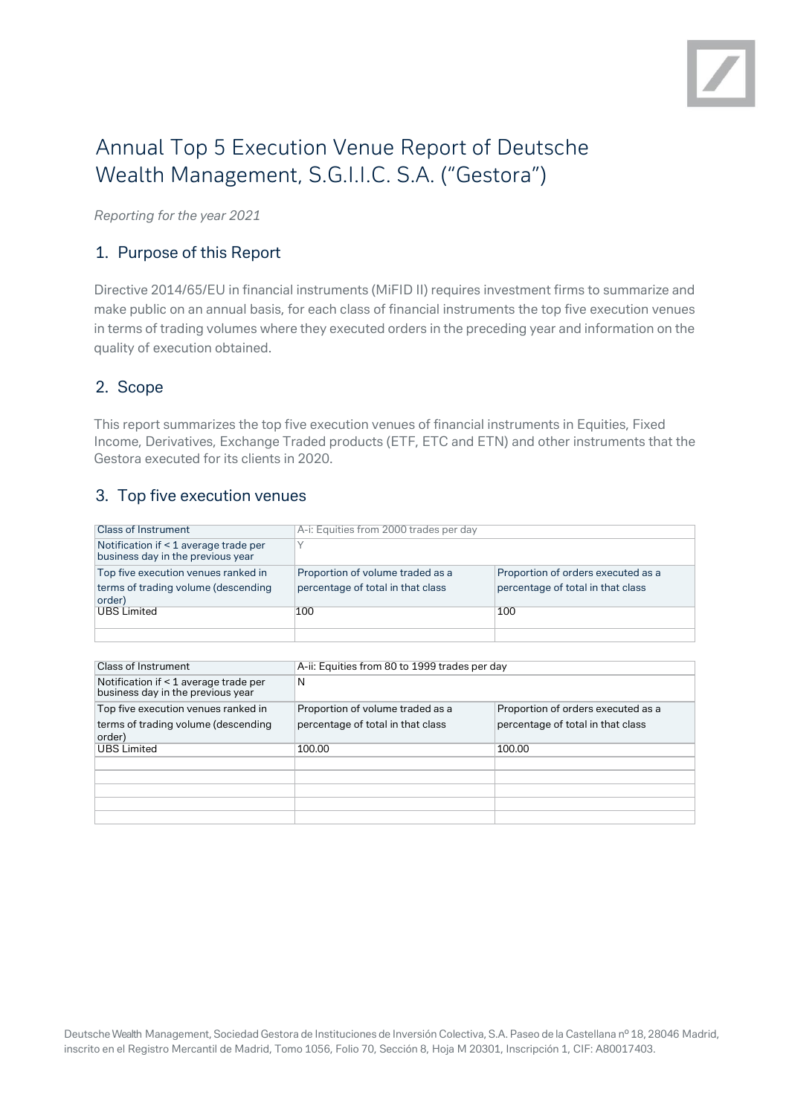

# Annual Top 5 Execution Venue Report of Deutsche Wealth Management, S.G.I.I.C. S.A. ("Gestora")

*Reporting for the year 2021*

# 1. Purpose of this Report

Directive 2014/65/EU in financial instruments (MiFID II) requires investment firms to summarize and make public on an annual basis, for each class of financial instruments the top five execution venues in terms of trading volumes where they executed orders in the preceding year and information on the quality of execution obtained.

# 2. Scope

This report summarizes the top five execution venues of financial instruments in Equities, Fixed Income, Derivatives, Exchange Traded products (ETF, ETC and ETN) and other instruments that the Gestora executed for its clients in 2020.

# 3. Top five execution venues

| <b>Class of Instrument</b>                                                 | A-i: Equities from 2000 trades per day                                |                                                                         |
|----------------------------------------------------------------------------|-----------------------------------------------------------------------|-------------------------------------------------------------------------|
| Notification if < 1 average trade per<br>business day in the previous year |                                                                       |                                                                         |
| Top five execution venues ranked in<br>terms of trading volume (descending | Proportion of volume traded as a<br>percentage of total in that class | Proportion of orders executed as a<br>percentage of total in that class |
| order)                                                                     |                                                                       |                                                                         |
| <b>UBS Limited</b>                                                         | 100                                                                   | 100                                                                     |
|                                                                            |                                                                       |                                                                         |

| Class of Instrument                                                                  | A-ii: Equities from 80 to 1999 trades per day                         |                                                                         |
|--------------------------------------------------------------------------------------|-----------------------------------------------------------------------|-------------------------------------------------------------------------|
| Notification if < 1 average trade per<br>business day in the previous year           | N                                                                     |                                                                         |
| Top five execution venues ranked in<br>terms of trading volume (descending<br>order) | Proportion of volume traded as a<br>percentage of total in that class | Proportion of orders executed as a<br>percentage of total in that class |
| <b>UBS Limited</b>                                                                   | 100.00                                                                | 100.00                                                                  |
|                                                                                      |                                                                       |                                                                         |
|                                                                                      |                                                                       |                                                                         |
|                                                                                      |                                                                       |                                                                         |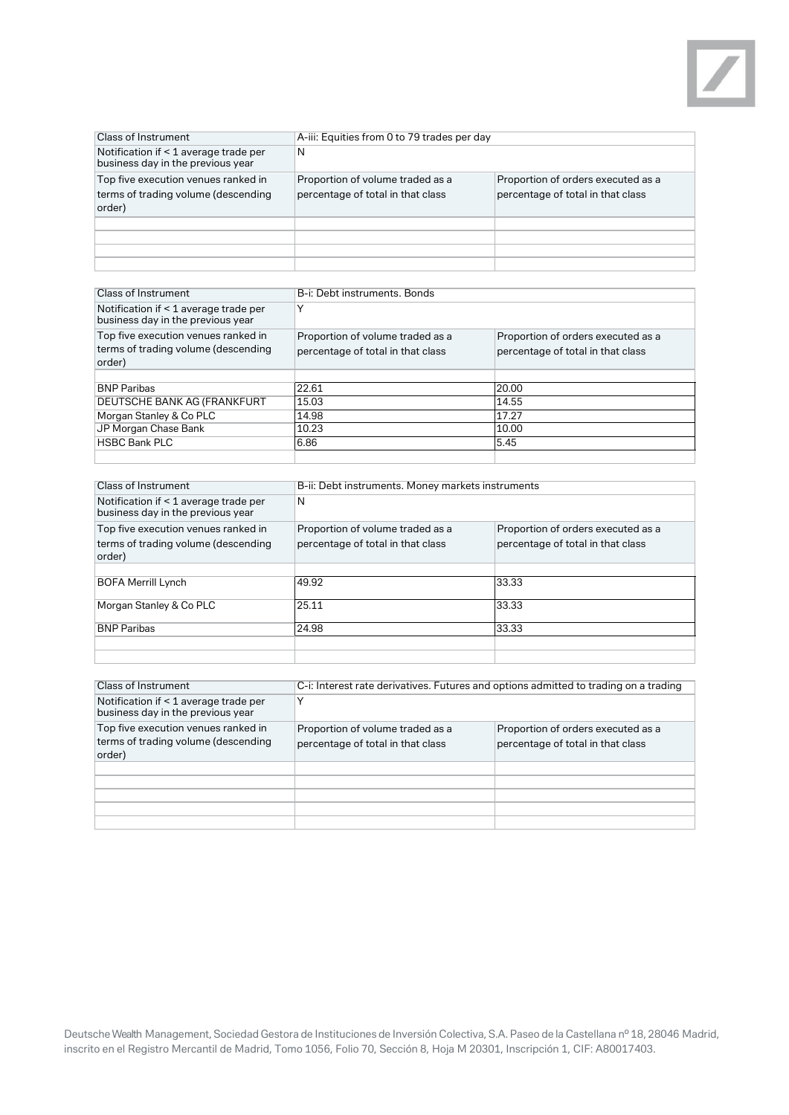

| <b>Class of Instrument</b>                                                           | A-iii: Equities from 0 to 79 trades per day                           |                                                                         |
|--------------------------------------------------------------------------------------|-----------------------------------------------------------------------|-------------------------------------------------------------------------|
| Notification if < 1 average trade per<br>business day in the previous year           | N                                                                     |                                                                         |
| Top five execution venues ranked in<br>terms of trading volume (descending<br>order) | Proportion of volume traded as a<br>percentage of total in that class | Proportion of orders executed as a<br>percentage of total in that class |
|                                                                                      |                                                                       |                                                                         |
|                                                                                      |                                                                       |                                                                         |
|                                                                                      |                                                                       |                                                                         |
|                                                                                      |                                                                       |                                                                         |

| <b>Class of Instrument</b>                                                           | B-i: Debt instruments, Bonds                                          |                                                                         |
|--------------------------------------------------------------------------------------|-----------------------------------------------------------------------|-------------------------------------------------------------------------|
| Notification if < 1 average trade per<br>business day in the previous year           |                                                                       |                                                                         |
| Top five execution venues ranked in<br>terms of trading volume (descending<br>order) | Proportion of volume traded as a<br>percentage of total in that class | Proportion of orders executed as a<br>percentage of total in that class |
|                                                                                      |                                                                       |                                                                         |
| <b>BNP Paribas</b>                                                                   | 22.61                                                                 | 20.00                                                                   |
| DEUTSCHE BANK AG (FRANKFURT                                                          | 15.03                                                                 | 14.55                                                                   |
| Morgan Stanley & Co PLC                                                              | 14.98                                                                 | 17.27                                                                   |
| JP Morgan Chase Bank                                                                 | 10.23                                                                 | 10.00                                                                   |
| <b>HSBC Bank PLC</b>                                                                 | 6.86                                                                  | 5.45                                                                    |
|                                                                                      |                                                                       |                                                                         |

| Class of Instrument                                                        | B-ii: Debt instruments. Money markets instruments |                                    |
|----------------------------------------------------------------------------|---------------------------------------------------|------------------------------------|
| Notification if < 1 average trade per<br>business day in the previous year | N                                                 |                                    |
| Top five execution venues ranked in                                        | Proportion of volume traded as a                  | Proportion of orders executed as a |
| terms of trading volume (descending<br>order)                              | percentage of total in that class                 | percentage of total in that class  |
|                                                                            |                                                   |                                    |
| <b>BOFA Merrill Lynch</b>                                                  | 49.92                                             | 33.33                              |
| Morgan Stanley & Co PLC                                                    | 25.11                                             | 33.33                              |
| <b>BNP Paribas</b>                                                         | 24.98                                             | 33.33                              |
|                                                                            |                                                   |                                    |

| Class of Instrument                                                                  | C-i: Interest rate derivatives. Futures and options admitted to trading on a trading |                                                                         |
|--------------------------------------------------------------------------------------|--------------------------------------------------------------------------------------|-------------------------------------------------------------------------|
| Notification if < 1 average trade per<br>business day in the previous year           | v                                                                                    |                                                                         |
| Top five execution venues ranked in<br>terms of trading volume (descending<br>order) | Proportion of volume traded as a<br>percentage of total in that class                | Proportion of orders executed as a<br>percentage of total in that class |
|                                                                                      |                                                                                      |                                                                         |
|                                                                                      |                                                                                      |                                                                         |
|                                                                                      |                                                                                      |                                                                         |
|                                                                                      |                                                                                      |                                                                         |
|                                                                                      |                                                                                      |                                                                         |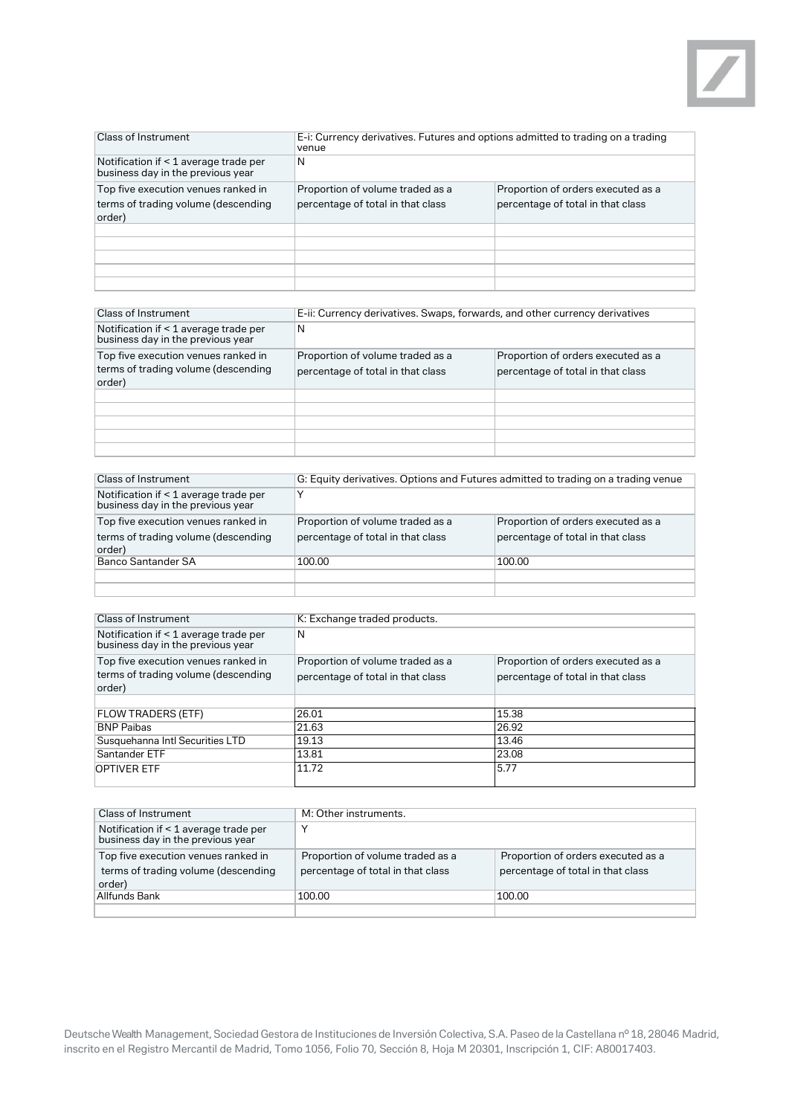

| <b>Class of Instrument</b>                                                           | E-i: Currency derivatives. Futures and options admitted to trading on a trading<br>venue |                                                                         |
|--------------------------------------------------------------------------------------|------------------------------------------------------------------------------------------|-------------------------------------------------------------------------|
| Notification if < 1 average trade per<br>business day in the previous year           | N                                                                                        |                                                                         |
| Top five execution venues ranked in<br>terms of trading volume (descending<br>order) | Proportion of volume traded as a<br>percentage of total in that class                    | Proportion of orders executed as a<br>percentage of total in that class |
|                                                                                      |                                                                                          |                                                                         |
|                                                                                      |                                                                                          |                                                                         |
|                                                                                      |                                                                                          |                                                                         |
|                                                                                      |                                                                                          |                                                                         |
|                                                                                      |                                                                                          |                                                                         |

| Class of Instrument                                                                  | E-ii: Currency derivatives. Swaps, forwards, and other currency derivatives |                                                                         |
|--------------------------------------------------------------------------------------|-----------------------------------------------------------------------------|-------------------------------------------------------------------------|
| Notification if < 1 average trade per<br>business day in the previous year           | N                                                                           |                                                                         |
| Top five execution venues ranked in<br>terms of trading volume (descending<br>order) | Proportion of volume traded as a<br>percentage of total in that class       | Proportion of orders executed as a<br>percentage of total in that class |
|                                                                                      |                                                                             |                                                                         |
|                                                                                      |                                                                             |                                                                         |
|                                                                                      |                                                                             |                                                                         |
|                                                                                      |                                                                             |                                                                         |
|                                                                                      |                                                                             |                                                                         |

| Class of Instrument                                                                  | G: Equity derivatives. Options and Futures admitted to trading on a trading venue |                                                                         |
|--------------------------------------------------------------------------------------|-----------------------------------------------------------------------------------|-------------------------------------------------------------------------|
| Notification if < 1 average trade per<br>business day in the previous year           |                                                                                   |                                                                         |
| Top five execution venues ranked in<br>terms of trading volume (descending<br>order) | Proportion of volume traded as a<br>percentage of total in that class             | Proportion of orders executed as a<br>percentage of total in that class |
| <b>Banco Santander SA</b>                                                            | 100.00                                                                            | 100.00                                                                  |
|                                                                                      |                                                                                   |                                                                         |
|                                                                                      |                                                                                   |                                                                         |

| Class of Instrument                                                                  | K: Exchange traded products.                                          |                                                                         |
|--------------------------------------------------------------------------------------|-----------------------------------------------------------------------|-------------------------------------------------------------------------|
| Notification if < 1 average trade per<br>business day in the previous year           | N                                                                     |                                                                         |
| Top five execution venues ranked in<br>terms of trading volume (descending<br>order) | Proportion of volume traded as a<br>percentage of total in that class | Proportion of orders executed as a<br>percentage of total in that class |
|                                                                                      |                                                                       |                                                                         |
| <b>FLOW TRADERS (ETF)</b>                                                            | 26.01                                                                 | 15.38                                                                   |
| <b>BNP Paibas</b>                                                                    | 21.63                                                                 | 26.92                                                                   |
| Susquehanna Intl Securities LTD                                                      | 19.13                                                                 | 13.46                                                                   |
| Santander ETF                                                                        | 13.81                                                                 | 23.08                                                                   |
| <b>OPTIVER ETF</b>                                                                   | 11.72                                                                 | 5.77                                                                    |

| Class of Instrument                                                                  | M: Other instruments.                                                 |                                                                         |
|--------------------------------------------------------------------------------------|-----------------------------------------------------------------------|-------------------------------------------------------------------------|
| Notification if < 1 average trade per<br>business day in the previous year           | ν                                                                     |                                                                         |
| Top five execution venues ranked in<br>terms of trading volume (descending<br>order) | Proportion of volume traded as a<br>percentage of total in that class | Proportion of orders executed as a<br>percentage of total in that class |
| Allfunds Bank                                                                        | 100.00                                                                | 100.00                                                                  |
|                                                                                      |                                                                       |                                                                         |

Deutsche Wealth Management, Sociedad Gestora de Instituciones de Inversión Colectiva, S.A. Paseo de la Castellana nº 18, 28046 Madrid, inscrito en el Registro Mercantil de Madrid, Tomo 1056, Folio 70, Sección 8, Hoja M 20301, Inscripción 1, CIF: A80017403.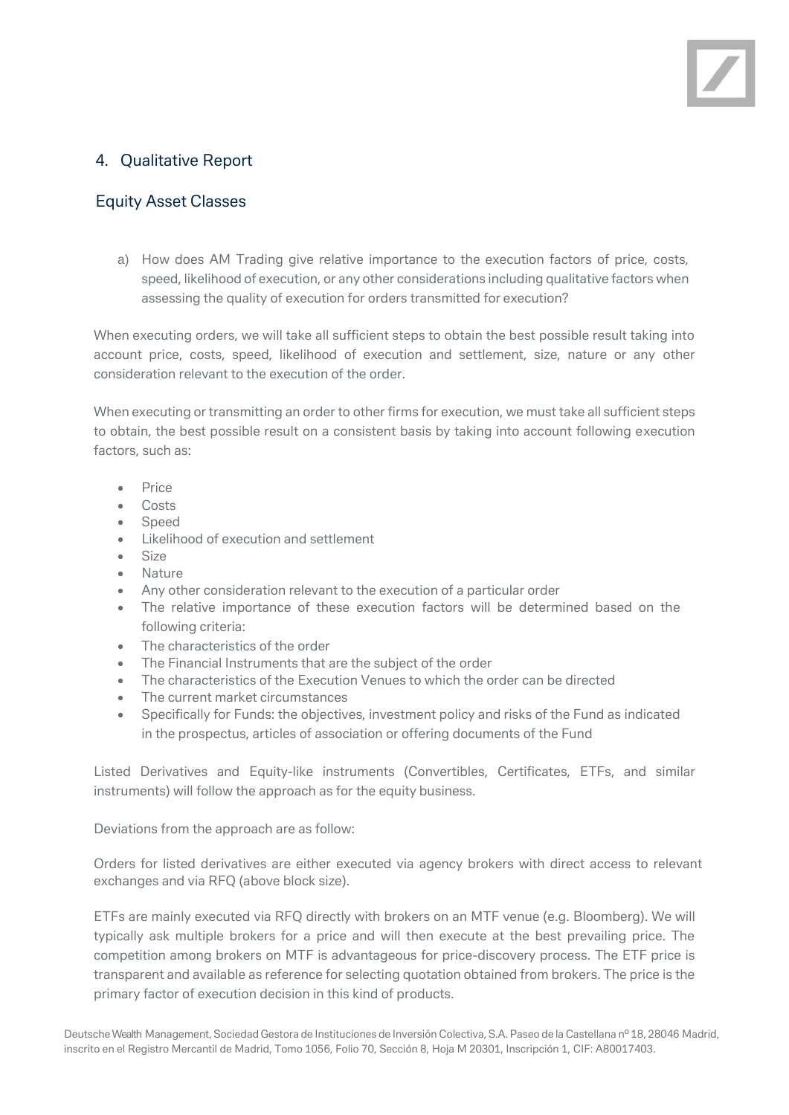# 4. Qualitative Report

## Equity Asset Classes

a) How does AM Trading give relative importance to the execution factors of price, costs, speed, likelihood of execution, or any other considerations including qualitative factors when assessing the quality of execution for orders transmitted for execution?

When executing orders, we will take all sufficient steps to obtain the best possible result taking into account price, costs, speed, likelihood of execution and settlement, size, nature or any other consideration relevant to the execution of the order.

When executing or transmitting an order to other firms for execution, we must take all sufficient steps to obtain, the best possible result on a consistent basis by taking into account following execution factors, such as:

- Price
- Costs
- Speed
- Likelihood of execution and settlement
- Size
- Nature
- Any other consideration relevant to the execution of a particular order
- The relative importance of these execution factors will be determined based on the following criteria:
- The characteristics of the order
- The Financial Instruments that are the subject of the order
- The characteristics of the Execution Venues to which the order can be directed
- The current market circumstances
- Specifically for Funds: the objectives, investment policy and risks of the Fund as indicated in the prospectus, articles of association or offering documents of the Fund

Listed Derivatives and Equity-like instruments (Convertibles, Certificates, ETFs, and similar instruments) will follow the approach as for the equity business.

Deviations from the approach are as follow:

Orders for listed derivatives are either executed via agency brokers with direct access to relevant exchanges and via RFQ (above block size).

ETFs are mainly executed via RFQ directly with brokers on an MTF venue (e.g. Bloomberg). We will typically ask multiple brokers for a price and will then execute at the best prevailing price. The competition among brokers on MTF is advantageous for price-discovery process. The ETF price is transparent and available as reference for selecting quotation obtained from brokers. The price is the primary factor of execution decision in this kind of products.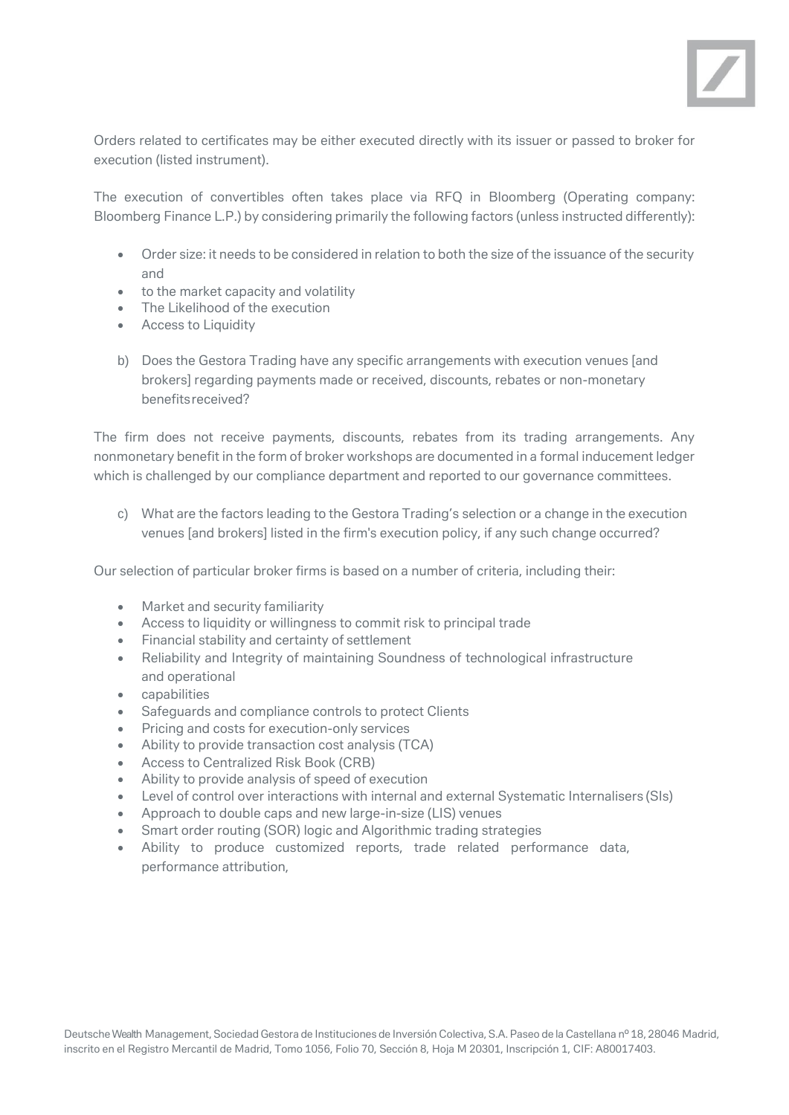

Orders related to certificates may be either executed directly with its issuer or passed to broker for execution (listed instrument).

The execution of convertibles often takes place via RFQ in Bloomberg (Operating company: Bloomberg Finance L.P.) by considering primarily the following factors (unless instructed differently):

- Order size: it needs to be considered in relation to both the size of the issuance of the security and
- to the market capacity and volatility
- The Likelihood of the execution
- Access to Liquidity
- b) Does the Gestora Trading have any specific arrangements with execution venues [and brokers] regarding payments made or received, discounts, rebates or non-monetary benefitsreceived?

The firm does not receive payments, discounts, rebates from its trading arrangements. Any nonmonetary benefit in the form of broker workshops are documented in a formal inducement ledger which is challenged by our compliance department and reported to our governance committees.

c) What are the factors leading to the Gestora Trading's selection or a change in the execution venues [and brokers] listed in the firm's execution policy, if any such change occurred?

Our selection of particular broker firms is based on a number of criteria, including their:

- Market and security familiarity
- Access to liquidity or willingness to commit risk to principal trade
- Financial stability and certainty of settlement
- Reliability and Integrity of maintaining Soundness of technological infrastructure and operational
- capabilities
- Safeguards and compliance controls to protect Clients
- Pricing and costs for execution-only services
- Ability to provide transaction cost analysis (TCA)
- Access to Centralized Risk Book (CRB)
- Ability to provide analysis of speed of execution
- Level of control over interactions with internal and external Systematic Internalisers (SIs)
- Approach to double caps and new large-in-size (LIS) venues
- Smart order routing (SOR) logic and Algorithmic trading strategies
- Ability to produce customized reports, trade related performance data, performance attribution,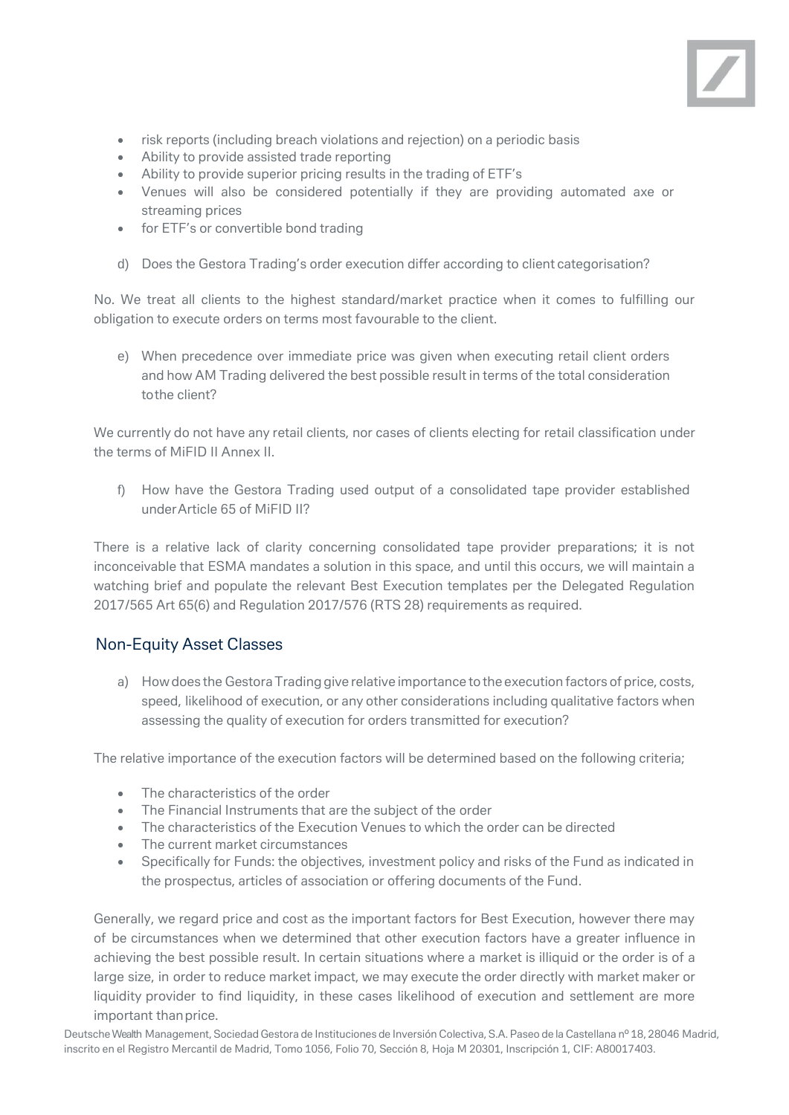

- risk reports (including breach violations and rejection) on a periodic basis
- Ability to provide assisted trade reporting
- Ability to provide superior pricing results in the trading of ETF's
- Venues will also be considered potentially if they are providing automated axe or streaming prices
- for ETF's or convertible bond trading
- d) Does the Gestora Trading's order execution differ according to client categorisation?

No. We treat all clients to the highest standard/market practice when it comes to fulfilling our obligation to execute orders on terms most favourable to the client.

e) When precedence over immediate price was given when executing retail client orders and how AM Trading delivered the best possible result in terms of the total consideration tothe client?

We currently do not have any retail clients, nor cases of clients electing for retail classification under the terms of MiFID II Annex II.

f) How have the Gestora Trading used output of a consolidated tape provider established underArticle 65 of MiFID II?

There is a relative lack of clarity concerning consolidated tape provider preparations; it is not inconceivable that ESMA mandates a solution in this space, and until this occurs, we will maintain a watching brief and populate the relevant Best Execution templates per the Delegated Regulation 2017/565 Art 65(6) and Regulation 2017/576 (RTS 28) requirements as required.

#### Non-Equity Asset Classes

a) Howdoes the GestoraTradinggive relative importance to the execution factors of price, costs, speed, likelihood of execution, or any other considerations including qualitative factors when assessing the quality of execution for orders transmitted for execution?

The relative importance of the execution factors will be determined based on the following criteria;

- The characteristics of the order
- The Financial Instruments that are the subject of the order
- The characteristics of the Execution Venues to which the order can be directed
- The current market circumstances
- Specifically for Funds: the objectives, investment policy and risks of the Fund as indicated in the prospectus, articles of association or offering documents of the Fund.

Generally, we regard price and cost as the important factors for Best Execution, however there may of be circumstances when we determined that other execution factors have a greater influence in achieving the best possible result. In certain situations where a market is illiquid or the order is of a large size, in order to reduce market impact, we may execute the order directly with market maker or liquidity provider to find liquidity, in these cases likelihood of execution and settlement are more important thanprice.

Deutsche Wealth Management, Sociedad Gestora de Instituciones de Inversión Colectiva, S.A. Paseo de la Castellana nº 18, 28046 Madrid, inscrito en el Registro Mercantil de Madrid, Tomo 1056, Folio 70, Sección 8, Hoja M 20301, Inscripción 1, CIF: A80017403.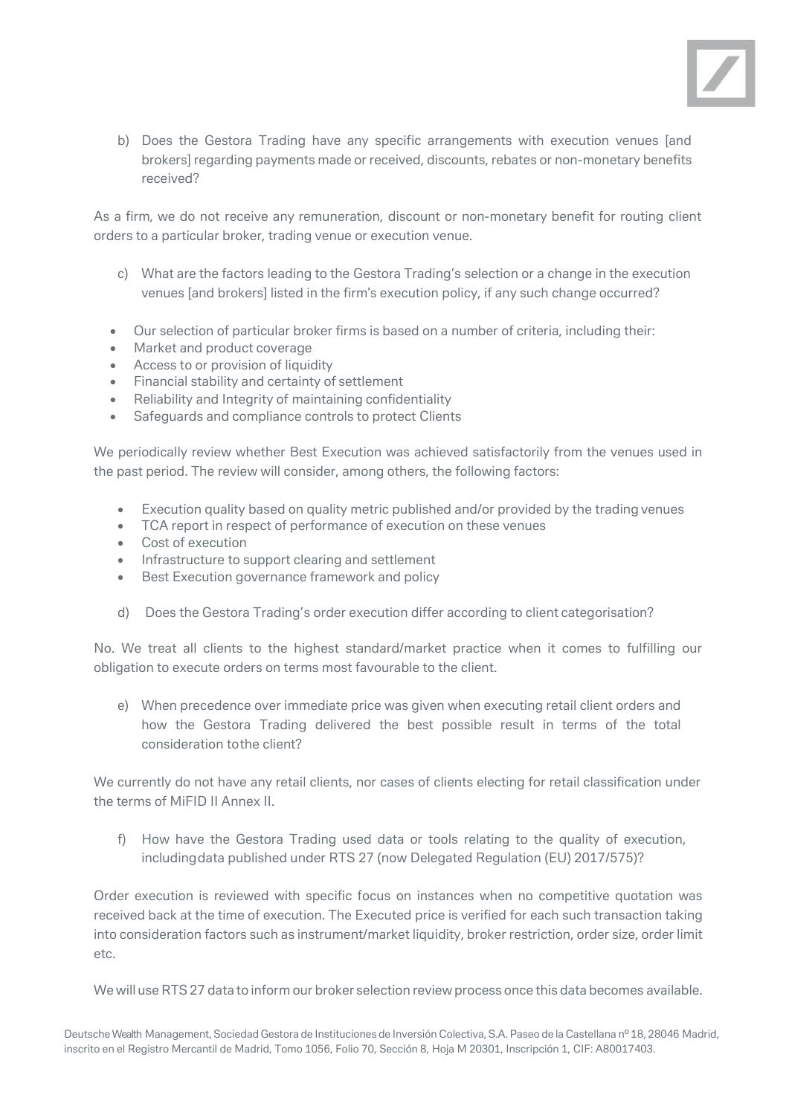

b) Does the Gestora Trading have any specific arrangements with execution venues [and brokers] regarding payments made or received, discounts, rebates or non-monetary benefits received?

As a firm, we do not receive any remuneration, discount or non-monetary benefit for routing client orders to a particular broker, trading venue or execution venue.

- c) What are the factors leading to the Gestora Trading's selection or a change in the execution venues [and brokers] listed in the firm's execution policy, if any such change occurred?
- Our selection of particular broker firms is based on a number of criteria, including their:
- Market and product coverage
- Access to or provision of liquidity
- Financial stability and certainty of settlement
- Reliability and Integrity of maintaining confidentiality
- Safeguards and compliance controls to protect Clients

We periodically review whether Best Execution was achieved satisfactorily from the venues used in the past period. The review will consider, among others, the following factors:

- Execution quality based on quality metric published and/or provided by the trading venues
- TCA report in respect of performance of execution on these venues
- Cost of execution
- Infrastructure to support clearing and settlement
- Best Execution governance framework and policy
- d) Does the Gestora Trading's order execution differ according to client categorisation?

No. We treat all clients to the highest standard/market practice when it comes to fulfilling our obligation to execute orders on terms most favourable to the client.

e) When precedence over immediate price was given when executing retail client orders and how the Gestora Trading delivered the best possible result in terms of the total consideration tothe client?

We currently do not have any retail clients, nor cases of clients electing for retail classification under the terms of MiFID II Annex II.

f) How have the Gestora Trading used data or tools relating to the quality of execution, includingdata published under RTS 27 (now Delegated Regulation (EU) 2017/575)?

Order execution is reviewed with specific focus on instances when no competitive quotation was received back at the time of execution. The Executed price is verified for each such transaction taking into consideration factors such as instrument/market liquidity, broker restriction, order size, order limit etc.

We will use RTS 27 data to inform our broker selection review process once this data becomes available.